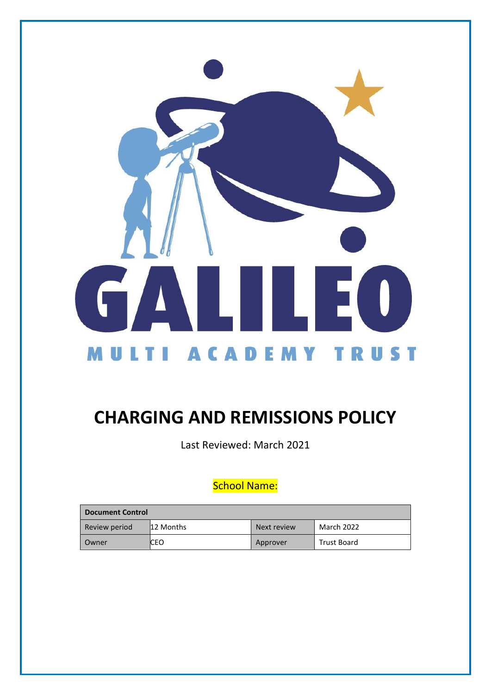

# **CHARGING AND REMISSIONS POLICY**

Last Reviewed: March 2021

# School Name:

| <b>Document Control</b> |           |             |                    |
|-------------------------|-----------|-------------|--------------------|
| Review period           | 12 Months | Next review | March 2022         |
| Owner                   | CEO       | Approver    | <b>Trust Board</b> |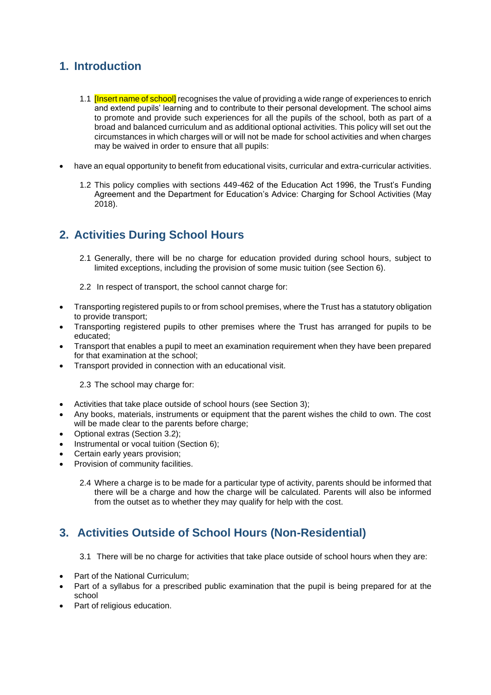## **1. Introduction**

- 1.1 **Insert name of school** recognises the value of providing a wide range of experiences to enrich and extend pupils' learning and to contribute to their personal development. The school aims to promote and provide such experiences for all the pupils of the school, both as part of a broad and balanced curriculum and as additional optional activities. This policy will set out the circumstances in which charges will or will not be made for school activities and when charges may be waived in order to ensure that all pupils:
- have an equal opportunity to benefit from educational visits, curricular and extra-curricular activities.
	- 1.2 This policy complies with sections 449-462 of the Education Act 1996, the Trust's Funding Agreement and the Department for Education's Advice: Charging for School Activities (May 2018).

## **2. Activities During School Hours**

- 2.1 Generally, there will be no charge for education provided during school hours, subject to limited exceptions, including the provision of some music tuition (see Section 6).
- 2.2 In respect of transport, the school cannot charge for:
- Transporting registered pupils to or from school premises, where the Trust has a statutory obligation to provide transport;
- Transporting registered pupils to other premises where the Trust has arranged for pupils to be educated;
- Transport that enables a pupil to meet an examination requirement when they have been prepared for that examination at the school;
- Transport provided in connection with an educational visit.

2.3 The school may charge for:

- Activities that take place outside of school hours (see Section 3);
- Any books, materials, instruments or equipment that the parent wishes the child to own. The cost will be made clear to the parents before charge:
- Optional extras (Section 3.2);
- Instrumental or vocal tuition (Section 6);
- Certain early years provision;
- Provision of community facilities.
	- 2.4 Where a charge is to be made for a particular type of activity, parents should be informed that there will be a charge and how the charge will be calculated. Parents will also be informed from the outset as to whether they may qualify for help with the cost.

#### **3. Activities Outside of School Hours (Non-Residential)**

- 3.1 There will be no charge for activities that take place outside of school hours when they are:
- Part of the National Curriculum;
- Part of a syllabus for a prescribed public examination that the pupil is being prepared for at the school
- Part of religious education.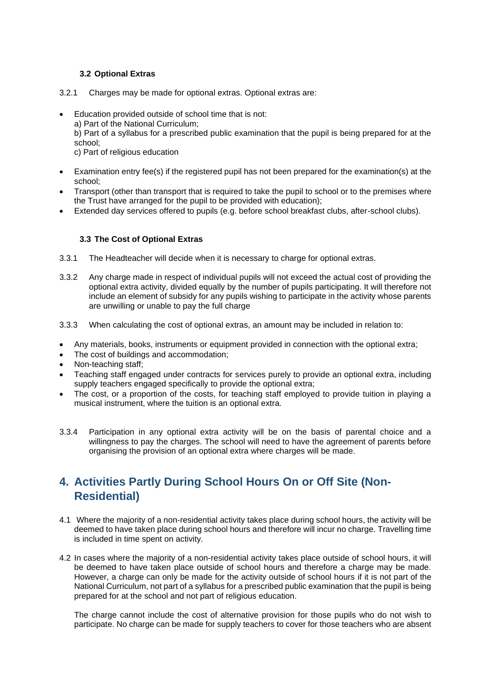#### **3.2 Optional Extras**

- 3.2.1 Charges may be made for optional extras. Optional extras are:
	- Education provided outside of school time that is not:
		- a) Part of the National Curriculum;

b) Part of a syllabus for a prescribed public examination that the pupil is being prepared for at the school;

c) Part of religious education

- Examination entry fee(s) if the registered pupil has not been prepared for the examination(s) at the school;
- Transport (other than transport that is required to take the pupil to school or to the premises where the Trust have arranged for the pupil to be provided with education);
- Extended day services offered to pupils (e.g. before school breakfast clubs, after-school clubs).

#### **3.3 The Cost of Optional Extras**

- 3.3.1 The Headteacher will decide when it is necessary to charge for optional extras.
- 3.3.2 Any charge made in respect of individual pupils will not exceed the actual cost of providing the optional extra activity, divided equally by the number of pupils participating. It will therefore not include an element of subsidy for any pupils wishing to participate in the activity whose parents are unwilling or unable to pay the full charge
- 3.3.3 When calculating the cost of optional extras, an amount may be included in relation to:
- Any materials, books, instruments or equipment provided in connection with the optional extra;
- The cost of buildings and accommodation;
- Non-teaching staff;
- Teaching staff engaged under contracts for services purely to provide an optional extra, including supply teachers engaged specifically to provide the optional extra;
- The cost, or a proportion of the costs, for teaching staff employed to provide tuition in playing a musical instrument, where the tuition is an optional extra.
- 3.3.4 Participation in any optional extra activity will be on the basis of parental choice and a willingness to pay the charges. The school will need to have the agreement of parents before organising the provision of an optional extra where charges will be made.

## **4. Activities Partly During School Hours On or Off Site (Non-Residential)**

- 4.1 Where the majority of a non-residential activity takes place during school hours, the activity will be deemed to have taken place during school hours and therefore will incur no charge. Travelling time is included in time spent on activity.
- 4.2 In cases where the majority of a non-residential activity takes place outside of school hours, it will be deemed to have taken place outside of school hours and therefore a charge may be made. However, a charge can only be made for the activity outside of school hours if it is not part of the National Curriculum, not part of a syllabus for a prescribed public examination that the pupil is being prepared for at the school and not part of religious education.

The charge cannot include the cost of alternative provision for those pupils who do not wish to participate. No charge can be made for supply teachers to cover for those teachers who are absent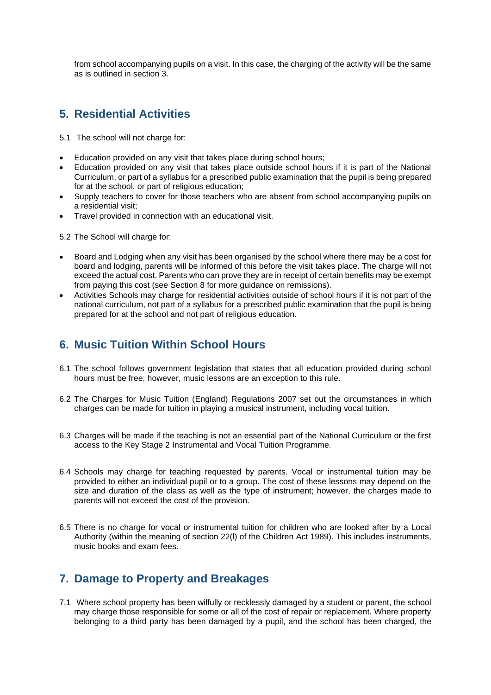from school accompanying pupils on a visit. In this case, the charging of the activity will be the same as is outlined in section 3.

### **5. Residential Activities**

5.1 The school will not charge for:

- Education provided on any visit that takes place during school hours;
- Education provided on any visit that takes place outside school hours if it is part of the National Curriculum, or part of a syllabus for a prescribed public examination that the pupil is being prepared for at the school, or part of religious education;
- Supply teachers to cover for those teachers who are absent from school accompanying pupils on a residential visit;
- Travel provided in connection with an educational visit.
- 5.2 The School will charge for:
- Board and Lodging when any visit has been organised by the school where there may be a cost for board and lodging, parents will be informed of this before the visit takes place. The charge will not exceed the actual cost. Parents who can prove they are in receipt of certain benefits may be exempt from paying this cost (see Section 8 for more guidance on remissions).
- Activities Schools may charge for residential activities outside of school hours if it is not part of the national curriculum, not part of a syllabus for a prescribed public examination that the pupil is being prepared for at the school and not part of religious education.

#### **6. Music Tuition Within School Hours**

- 6.1 The school follows government legislation that states that all education provided during school hours must be free; however, music lessons are an exception to this rule.
- 6.2 The Charges for Music Tuition (England) Regulations 2007 set out the circumstances in which charges can be made for tuition in playing a musical instrument, including vocal tuition.
- 6.3 Charges will be made if the teaching is not an essential part of the National Curriculum or the first access to the Key Stage 2 Instrumental and Vocal Tuition Programme.
- 6.4 Schools may charge for teaching requested by parents. Vocal or instrumental tuition may be provided to either an individual pupil or to a group. The cost of these lessons may depend on the size and duration of the class as well as the type of instrument; however, the charges made to parents will not exceed the cost of the provision.
- 6.5 There is no charge for vocal or instrumental tuition for children who are looked after by a Local Authority (within the meaning of section 22(l) of the Children Act 1989). This includes instruments, music books and exam fees.

#### **7. Damage to Property and Breakages**

7.1 Where school property has been wilfully or recklessly damaged by a student or parent, the school may charge those responsible for some or all of the cost of repair or replacement. Where property belonging to a third party has been damaged by a pupil, and the school has been charged, the